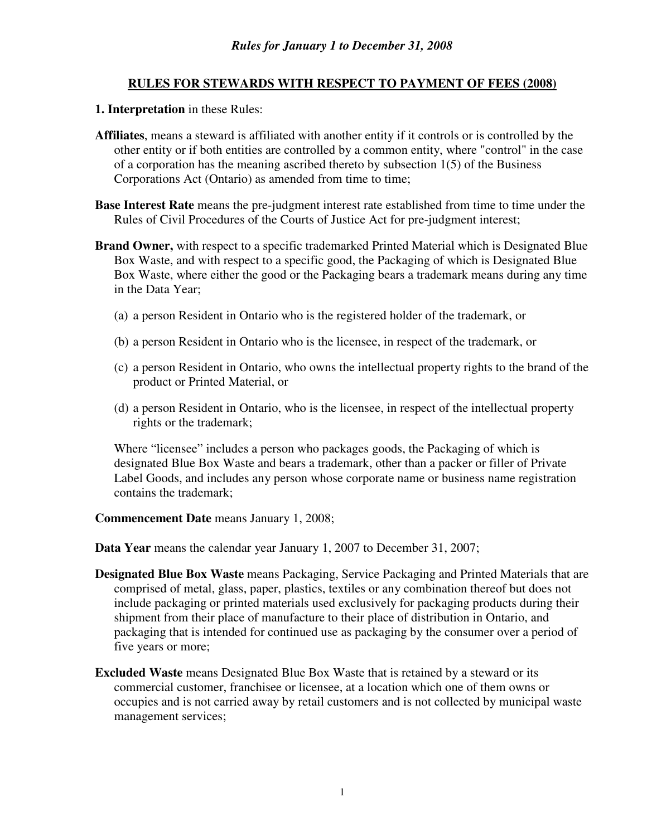#### **RULES FOR STEWARDS WITH RESPECT TO PAYMENT OF FEES (2008)**

#### **1. Interpretation** in these Rules:

- **Affiliates**, means a steward is affiliated with another entity if it controls or is controlled by the other entity or if both entities are controlled by a common entity, where "control" in the case of a corporation has the meaning ascribed thereto by subsection 1(5) of the Business Corporations Act (Ontario) as amended from time to time;
- **Base Interest Rate** means the pre-judgment interest rate established from time to time under the Rules of Civil Procedures of the Courts of Justice Act for pre-judgment interest;
- **Brand Owner,** with respect to a specific trademarked Printed Material which is Designated Blue Box Waste, and with respect to a specific good, the Packaging of which is Designated Blue Box Waste, where either the good or the Packaging bears a trademark means during any time in the Data Year;
	- (a) a person Resident in Ontario who is the registered holder of the trademark, or
	- (b) a person Resident in Ontario who is the licensee, in respect of the trademark, or
	- (c) a person Resident in Ontario, who owns the intellectual property rights to the brand of the product or Printed Material, or
	- (d) a person Resident in Ontario, who is the licensee, in respect of the intellectual property rights or the trademark;

Where "licensee" includes a person who packages goods, the Packaging of which is designated Blue Box Waste and bears a trademark, other than a packer or filler of Private Label Goods, and includes any person whose corporate name or business name registration contains the trademark;

#### **Commencement Date** means January 1, 2008;

**Data Year** means the calendar year January 1, 2007 to December 31, 2007;

- **Designated Blue Box Waste** means Packaging, Service Packaging and Printed Materials that are comprised of metal, glass, paper, plastics, textiles or any combination thereof but does not include packaging or printed materials used exclusively for packaging products during their shipment from their place of manufacture to their place of distribution in Ontario, and packaging that is intended for continued use as packaging by the consumer over a period of five years or more;
- **Excluded Waste** means Designated Blue Box Waste that is retained by a steward or its commercial customer, franchisee or licensee, at a location which one of them owns or occupies and is not carried away by retail customers and is not collected by municipal waste management services;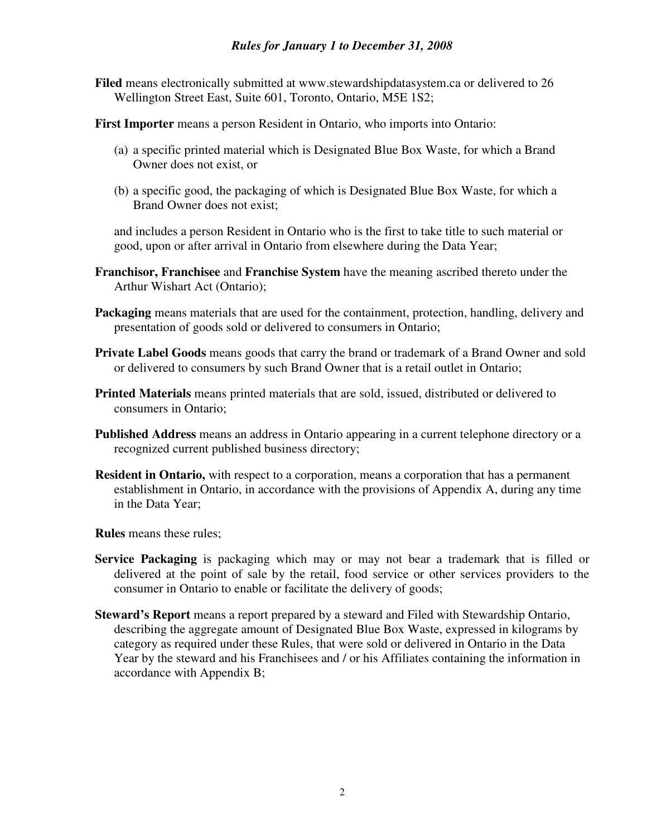#### *Rules for January 1 to December 31, 2008*

**Filed** means electronically submitted at www.stewardshipdatasystem.ca or delivered to 26 Wellington Street East, Suite 601, Toronto, Ontario, M5E 1S2;

**First Importer** means a person Resident in Ontario, who imports into Ontario:

- (a) a specific printed material which is Designated Blue Box Waste, for which a Brand Owner does not exist, or
- (b) a specific good, the packaging of which is Designated Blue Box Waste, for which a Brand Owner does not exist;

and includes a person Resident in Ontario who is the first to take title to such material or good, upon or after arrival in Ontario from elsewhere during the Data Year;

- **Franchisor, Franchisee** and **Franchise System** have the meaning ascribed thereto under the Arthur Wishart Act (Ontario);
- **Packaging** means materials that are used for the containment, protection, handling, delivery and presentation of goods sold or delivered to consumers in Ontario;
- **Private Label Goods** means goods that carry the brand or trademark of a Brand Owner and sold or delivered to consumers by such Brand Owner that is a retail outlet in Ontario;
- **Printed Materials** means printed materials that are sold, issued, distributed or delivered to consumers in Ontario;
- **Published Address** means an address in Ontario appearing in a current telephone directory or a recognized current published business directory;
- **Resident in Ontario,** with respect to a corporation, means a corporation that has a permanent establishment in Ontario, in accordance with the provisions of Appendix A, during any time in the Data Year;

**Rules** means these rules;

- **Service Packaging** is packaging which may or may not bear a trademark that is filled or delivered at the point of sale by the retail, food service or other services providers to the consumer in Ontario to enable or facilitate the delivery of goods;
- **Steward's Report** means a report prepared by a steward and Filed with Stewardship Ontario, describing the aggregate amount of Designated Blue Box Waste, expressed in kilograms by category as required under these Rules, that were sold or delivered in Ontario in the Data Year by the steward and his Franchisees and / or his Affiliates containing the information in accordance with Appendix B;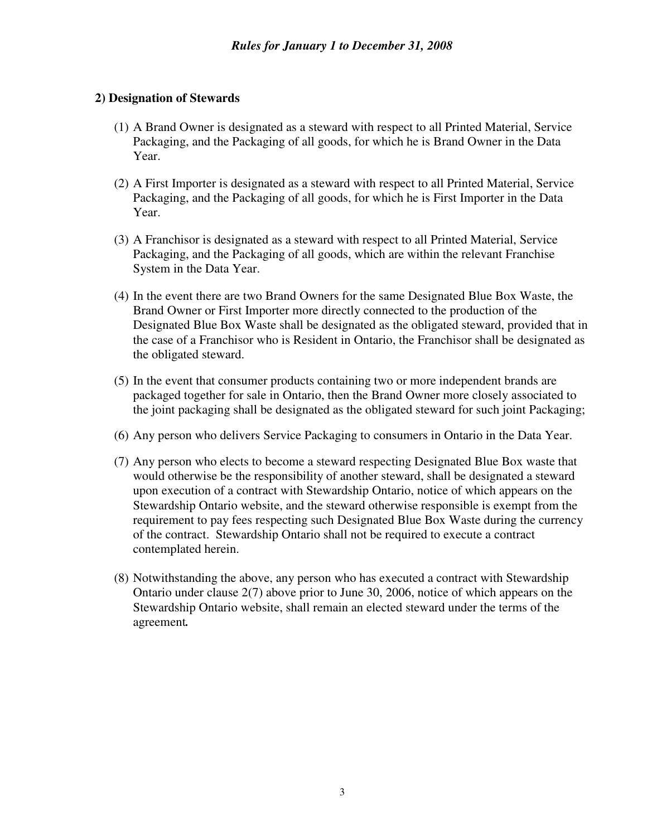#### **2) Designation of Stewards**

- (1) A Brand Owner is designated as a steward with respect to all Printed Material, Service Packaging, and the Packaging of all goods, for which he is Brand Owner in the Data Year.
- (2) A First Importer is designated as a steward with respect to all Printed Material, Service Packaging, and the Packaging of all goods, for which he is First Importer in the Data Year.
- (3) A Franchisor is designated as a steward with respect to all Printed Material, Service Packaging, and the Packaging of all goods, which are within the relevant Franchise System in the Data Year.
- (4) In the event there are two Brand Owners for the same Designated Blue Box Waste, the Brand Owner or First Importer more directly connected to the production of the Designated Blue Box Waste shall be designated as the obligated steward, provided that in the case of a Franchisor who is Resident in Ontario, the Franchisor shall be designated as the obligated steward.
- (5) In the event that consumer products containing two or more independent brands are packaged together for sale in Ontario, then the Brand Owner more closely associated to the joint packaging shall be designated as the obligated steward for such joint Packaging;
- (6) Any person who delivers Service Packaging to consumers in Ontario in the Data Year.
- (7) Any person who elects to become a steward respecting Designated Blue Box waste that would otherwise be the responsibility of another steward, shall be designated a steward upon execution of a contract with Stewardship Ontario, notice of which appears on the Stewardship Ontario website, and the steward otherwise responsible is exempt from the requirement to pay fees respecting such Designated Blue Box Waste during the currency of the contract. Stewardship Ontario shall not be required to execute a contract contemplated herein.
- (8) Notwithstanding the above, any person who has executed a contract with Stewardship Ontario under clause 2(7) above prior to June 30, 2006, notice of which appears on the Stewardship Ontario website, shall remain an elected steward under the terms of the agreement*.*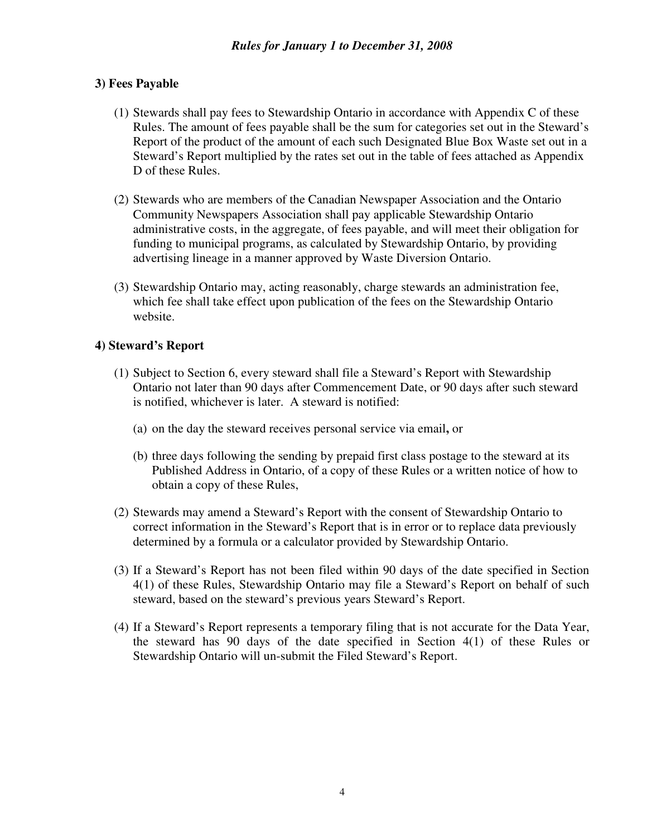#### **3) Fees Payable**

- (1) Stewards shall pay fees to Stewardship Ontario in accordance with Appendix C of these Rules. The amount of fees payable shall be the sum for categories set out in the Steward's Report of the product of the amount of each such Designated Blue Box Waste set out in a Steward's Report multiplied by the rates set out in the table of fees attached as Appendix D of these Rules.
- (2) Stewards who are members of the Canadian Newspaper Association and the Ontario Community Newspapers Association shall pay applicable Stewardship Ontario administrative costs, in the aggregate, of fees payable, and will meet their obligation for funding to municipal programs, as calculated by Stewardship Ontario, by providing advertising lineage in a manner approved by Waste Diversion Ontario.
- (3) Stewardship Ontario may, acting reasonably, charge stewards an administration fee, which fee shall take effect upon publication of the fees on the Stewardship Ontario website.

#### **4) Steward's Report**

- (1) Subject to Section 6, every steward shall file a Steward's Report with Stewardship Ontario not later than 90 days after Commencement Date, or 90 days after such steward is notified, whichever is later. A steward is notified:
	- (a) on the day the steward receives personal service via email**,** or
	- (b) three days following the sending by prepaid first class postage to the steward at its Published Address in Ontario, of a copy of these Rules or a written notice of how to obtain a copy of these Rules,
- (2) Stewards may amend a Steward's Report with the consent of Stewardship Ontario to correct information in the Steward's Report that is in error or to replace data previously determined by a formula or a calculator provided by Stewardship Ontario.
- (3) If a Steward's Report has not been filed within 90 days of the date specified in Section 4(1) of these Rules, Stewardship Ontario may file a Steward's Report on behalf of such steward, based on the steward's previous years Steward's Report.
- (4) If a Steward's Report represents a temporary filing that is not accurate for the Data Year, the steward has 90 days of the date specified in Section 4(1) of these Rules or Stewardship Ontario will un-submit the Filed Steward's Report.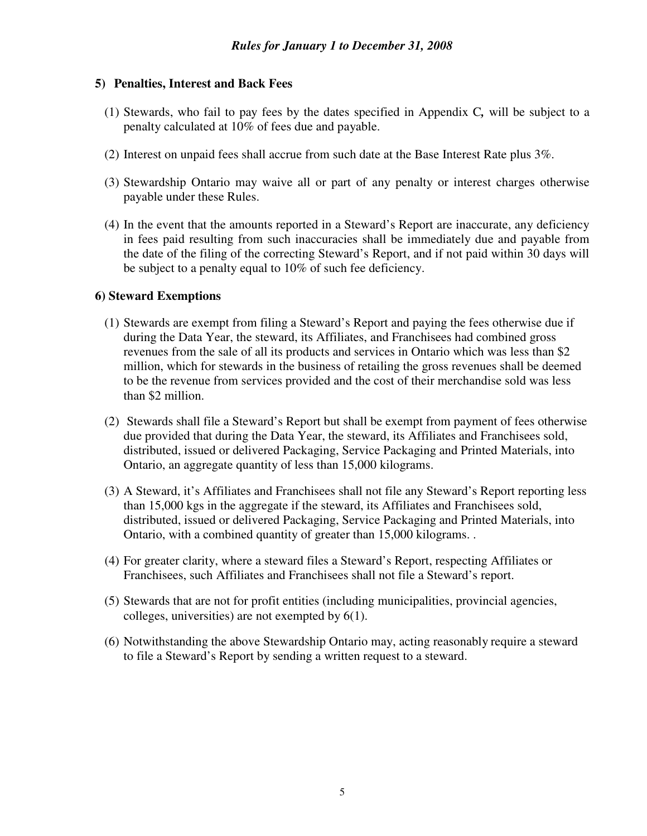#### **5) Penalties, Interest and Back Fees**

- (1) Stewards, who fail to pay fees by the dates specified in Appendix C*,* will be subject to a penalty calculated at 10% of fees due and payable.
- (2) Interest on unpaid fees shall accrue from such date at the Base Interest Rate plus 3%.
- (3) Stewardship Ontario may waive all or part of any penalty or interest charges otherwise payable under these Rules.
- (4) In the event that the amounts reported in a Steward's Report are inaccurate, any deficiency in fees paid resulting from such inaccuracies shall be immediately due and payable from the date of the filing of the correcting Steward's Report, and if not paid within 30 days will be subject to a penalty equal to 10% of such fee deficiency.

#### **6) Steward Exemptions**

- (1) Stewards are exempt from filing a Steward's Report and paying the fees otherwise due if during the Data Year, the steward, its Affiliates, and Franchisees had combined gross revenues from the sale of all its products and services in Ontario which was less than \$2 million, which for stewards in the business of retailing the gross revenues shall be deemed to be the revenue from services provided and the cost of their merchandise sold was less than \$2 million.
- (2) Stewards shall file a Steward's Report but shall be exempt from payment of fees otherwise due provided that during the Data Year, the steward, its Affiliates and Franchisees sold, distributed, issued or delivered Packaging, Service Packaging and Printed Materials, into Ontario, an aggregate quantity of less than 15,000 kilograms.
- (3) A Steward, it's Affiliates and Franchisees shall not file any Steward's Report reporting less than 15,000 kgs in the aggregate if the steward, its Affiliates and Franchisees sold, distributed, issued or delivered Packaging, Service Packaging and Printed Materials, into Ontario, with a combined quantity of greater than 15,000 kilograms. .
- (4) For greater clarity, where a steward files a Steward's Report, respecting Affiliates or Franchisees, such Affiliates and Franchisees shall not file a Steward's report.
- (5) Stewards that are not for profit entities (including municipalities, provincial agencies, colleges, universities) are not exempted by 6(1).
- (6) Notwithstanding the above Stewardship Ontario may, acting reasonably require a steward to file a Steward's Report by sending a written request to a steward.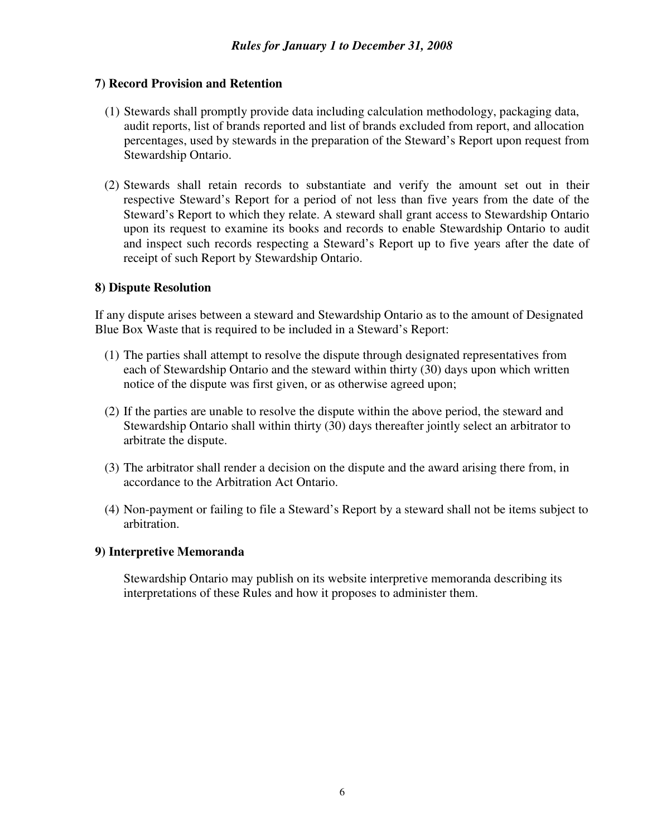### **7) Record Provision and Retention**

- (1) Stewards shall promptly provide data including calculation methodology, packaging data, audit reports, list of brands reported and list of brands excluded from report, and allocation percentages, used by stewards in the preparation of the Steward's Report upon request from Stewardship Ontario.
- (2) Stewards shall retain records to substantiate and verify the amount set out in their respective Steward's Report for a period of not less than five years from the date of the Steward's Report to which they relate. A steward shall grant access to Stewardship Ontario upon its request to examine its books and records to enable Stewardship Ontario to audit and inspect such records respecting a Steward's Report up to five years after the date of receipt of such Report by Stewardship Ontario.

#### **8) Dispute Resolution**

If any dispute arises between a steward and Stewardship Ontario as to the amount of Designated Blue Box Waste that is required to be included in a Steward's Report:

- (1) The parties shall attempt to resolve the dispute through designated representatives from each of Stewardship Ontario and the steward within thirty (30) days upon which written notice of the dispute was first given, or as otherwise agreed upon;
- (2) If the parties are unable to resolve the dispute within the above period, the steward and Stewardship Ontario shall within thirty (30) days thereafter jointly select an arbitrator to arbitrate the dispute.
- (3) The arbitrator shall render a decision on the dispute and the award arising there from, in accordance to the Arbitration Act Ontario.
- (4) Non-payment or failing to file a Steward's Report by a steward shall not be items subject to arbitration.

#### **9) Interpretive Memoranda**

Stewardship Ontario may publish on its website interpretive memoranda describing its interpretations of these Rules and how it proposes to administer them.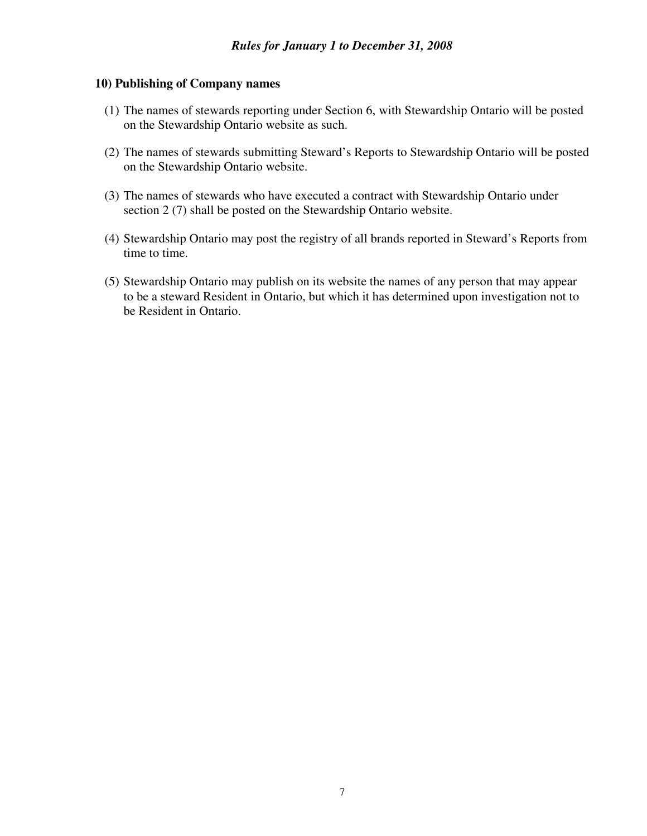#### **10) Publishing of Company names**

- (1) The names of stewards reporting under Section 6, with Stewardship Ontario will be posted on the Stewardship Ontario website as such.
- (2) The names of stewards submitting Steward's Reports to Stewardship Ontario will be posted on the Stewardship Ontario website.
- (3) The names of stewards who have executed a contract with Stewardship Ontario under section 2 (7) shall be posted on the Stewardship Ontario website.
- (4) Stewardship Ontario may post the registry of all brands reported in Steward's Reports from time to time.
- (5) Stewardship Ontario may publish on its website the names of any person that may appear to be a steward Resident in Ontario, but which it has determined upon investigation not to be Resident in Ontario.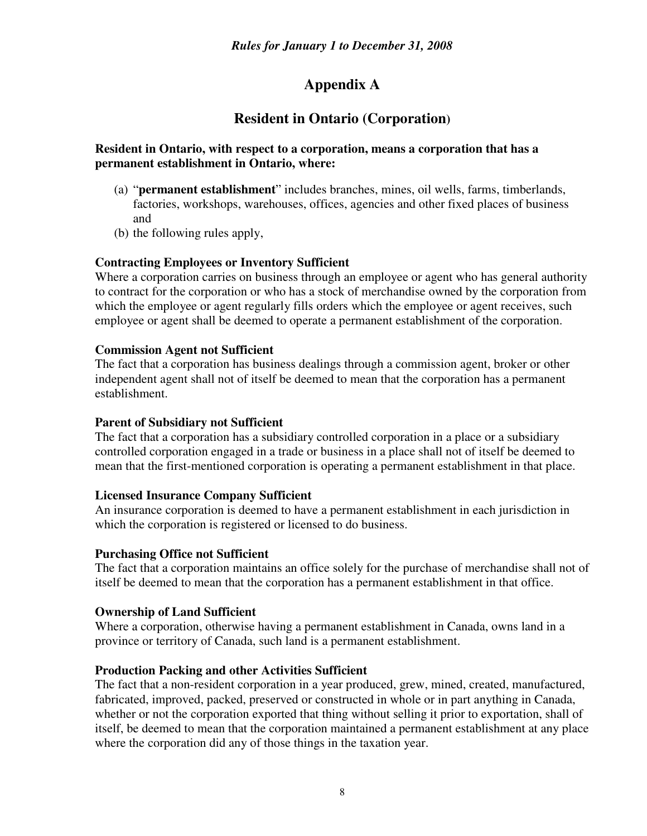## **Appendix A**

## **Resident in Ontario (Corporation)**

### **Resident in Ontario, with respect to a corporation, means a corporation that has a permanent establishment in Ontario, where:**

- (a) "**permanent establishment**" includes branches, mines, oil wells, farms, timberlands, factories, workshops, warehouses, offices, agencies and other fixed places of business and
- (b) the following rules apply,

## **Contracting Employees or Inventory Sufficient**

Where a corporation carries on business through an employee or agent who has general authority to contract for the corporation or who has a stock of merchandise owned by the corporation from which the employee or agent regularly fills orders which the employee or agent receives, such employee or agent shall be deemed to operate a permanent establishment of the corporation.

#### **Commission Agent not Sufficient**

The fact that a corporation has business dealings through a commission agent, broker or other independent agent shall not of itself be deemed to mean that the corporation has a permanent establishment.

### **Parent of Subsidiary not Sufficient**

The fact that a corporation has a subsidiary controlled corporation in a place or a subsidiary controlled corporation engaged in a trade or business in a place shall not of itself be deemed to mean that the first-mentioned corporation is operating a permanent establishment in that place.

#### **Licensed Insurance Company Sufficient**

An insurance corporation is deemed to have a permanent establishment in each jurisdiction in which the corporation is registered or licensed to do business.

#### **Purchasing Office not Sufficient**

The fact that a corporation maintains an office solely for the purchase of merchandise shall not of itself be deemed to mean that the corporation has a permanent establishment in that office.

#### **Ownership of Land Sufficient**

Where a corporation, otherwise having a permanent establishment in Canada, owns land in a province or territory of Canada, such land is a permanent establishment.

#### **Production Packing and other Activities Sufficient**

The fact that a non-resident corporation in a year produced, grew, mined, created, manufactured, fabricated, improved, packed, preserved or constructed in whole or in part anything in Canada, whether or not the corporation exported that thing without selling it prior to exportation, shall of itself, be deemed to mean that the corporation maintained a permanent establishment at any place where the corporation did any of those things in the taxation year.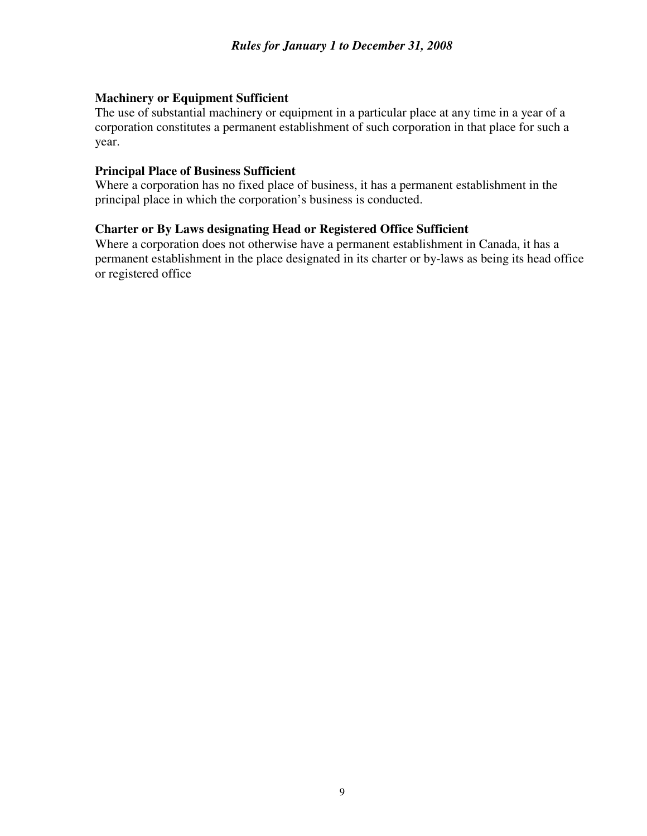#### **Machinery or Equipment Sufficient**

The use of substantial machinery or equipment in a particular place at any time in a year of a corporation constitutes a permanent establishment of such corporation in that place for such a year.

#### **Principal Place of Business Sufficient**

Where a corporation has no fixed place of business, it has a permanent establishment in the principal place in which the corporation's business is conducted.

#### **Charter or By Laws designating Head or Registered Office Sufficient**

Where a corporation does not otherwise have a permanent establishment in Canada, it has a permanent establishment in the place designated in its charter or by-laws as being its head office or registered office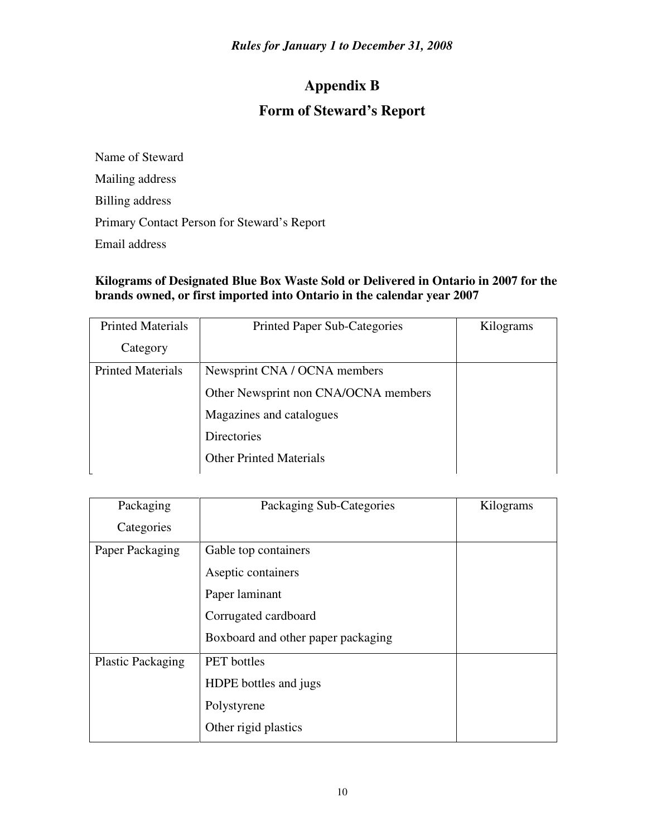# **Appendix B**

## **Form of Steward's Report**

Name of Steward Mailing address Billing address Primary Contact Person for Steward's Report Email address

## **Kilograms of Designated Blue Box Waste Sold or Delivered in Ontario in 2007 for the brands owned, or first imported into Ontario in the calendar year 2007**

| <b>Printed Materials</b> | <b>Printed Paper Sub-Categories</b>  | Kilograms |
|--------------------------|--------------------------------------|-----------|
| Category                 |                                      |           |
| <b>Printed Materials</b> | Newsprint CNA / OCNA members         |           |
|                          | Other Newsprint non CNA/OCNA members |           |
|                          | Magazines and catalogues             |           |
|                          | <b>Directories</b>                   |           |
|                          | <b>Other Printed Materials</b>       |           |

| Packaging                | Packaging Sub-Categories           | Kilograms |
|--------------------------|------------------------------------|-----------|
| Categories               |                                    |           |
| Paper Packaging          | Gable top containers               |           |
|                          | Aseptic containers                 |           |
|                          | Paper laminant                     |           |
|                          | Corrugated cardboard               |           |
|                          | Boxboard and other paper packaging |           |
| <b>Plastic Packaging</b> | <b>PET</b> bottles                 |           |
|                          | HDPE bottles and jugs              |           |
|                          | Polystyrene                        |           |
|                          | Other rigid plastics               |           |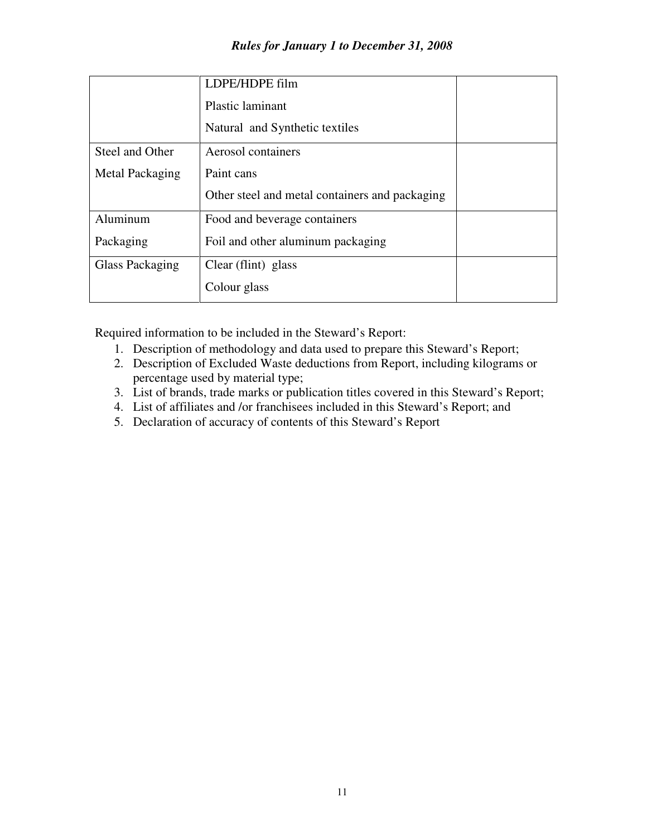|                 | LDPE/HDPE film                                 |  |
|-----------------|------------------------------------------------|--|
|                 | <b>Plastic laminant</b>                        |  |
|                 | Natural and Synthetic textiles                 |  |
| Steel and Other | Aerosol containers                             |  |
| Metal Packaging | Paint cans                                     |  |
|                 | Other steel and metal containers and packaging |  |
| Aluminum        | Food and beverage containers                   |  |
| Packaging       | Foil and other aluminum packaging              |  |
| Glass Packaging | Clear (flint) glass                            |  |
|                 | Colour glass                                   |  |

Required information to be included in the Steward's Report:

- 1. Description of methodology and data used to prepare this Steward's Report;
- 2. Description of Excluded Waste deductions from Report, including kilograms or percentage used by material type;
- 3. List of brands, trade marks or publication titles covered in this Steward's Report;
- 4. List of affiliates and /or franchisees included in this Steward's Report; and
- 5. Declaration of accuracy of contents of this Steward's Report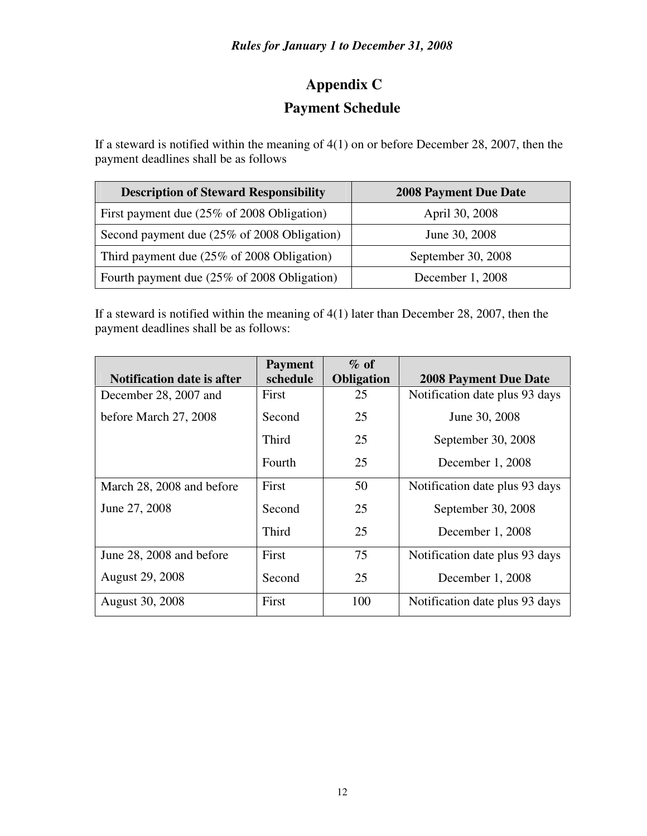# **Appendix C**

## **Payment Schedule**

If a steward is notified within the meaning of 4(1) on or before December 28, 2007, then the payment deadlines shall be as follows

| <b>Description of Steward Responsibility</b> | <b>2008 Payment Due Date</b> |
|----------------------------------------------|------------------------------|
| First payment due (25% of 2008 Obligation)   | April 30, 2008               |
| Second payment due (25% of 2008 Obligation)  | June 30, 2008                |
| Third payment due (25% of 2008 Obligation)   | September 30, 2008           |
| Fourth payment due (25% of 2008 Obligation)  | December 1, 2008             |

If a steward is notified within the meaning of 4(1) later than December 28, 2007, then the payment deadlines shall be as follows:

|                                   | <b>Payment</b> | $\%$ of           |                                |
|-----------------------------------|----------------|-------------------|--------------------------------|
| <b>Notification date is after</b> | schedule       | <b>Obligation</b> | <b>2008 Payment Due Date</b>   |
| December 28, 2007 and             | First          | 25                | Notification date plus 93 days |
| before March 27, 2008             | Second         | 25                | June 30, 2008                  |
|                                   | Third          | 25                | September 30, 2008             |
|                                   | Fourth         | 25                | December 1, 2008               |
| March 28, 2008 and before         | First          | 50                | Notification date plus 93 days |
| June 27, 2008                     | Second         | 25                | September 30, 2008             |
|                                   | Third          | 25                | December 1, 2008               |
| June 28, 2008 and before          | First          | 75                | Notification date plus 93 days |
| <b>August 29, 2008</b>            | Second         | 25                | December 1, 2008               |
| <b>August 30, 2008</b>            | First          | 100               | Notification date plus 93 days |